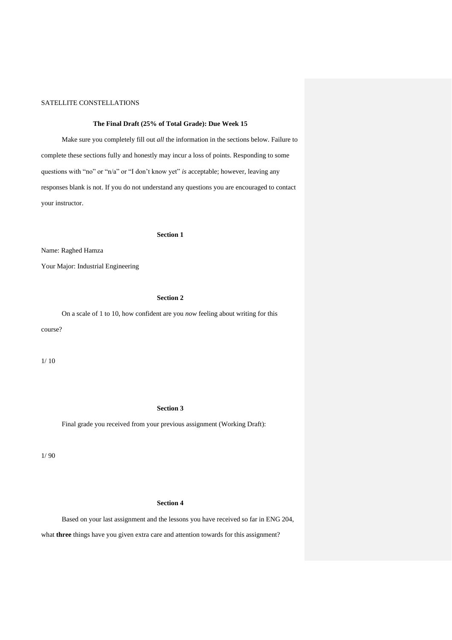### **The Final Draft (25% of Total Grade): Due Week 15**

Make sure you completely fill out *all* the information in the sections below. Failure to complete these sections fully and honestly may incur a loss of points. Responding to some questions with "no" or "n/a" or "I don't know yet" *is* acceptable; however, leaving any responses blank is not. If you do not understand any questions you are encouraged to contact your instructor.

#### **Section 1**

Name: Raghed Hamza

Your Major: Industrial Engineering

# **Section 2**

On a scale of 1 to 10, how confident are you *now* feeling about writing for this course?

1/ 10

# **Section 3**

Final grade you received from your previous assignment (Working Draft):

1/ 90

# **Section 4**

Based on your last assignment and the lessons you have received so far in ENG 204,

what **three** things have you given extra care and attention towards for this assignment?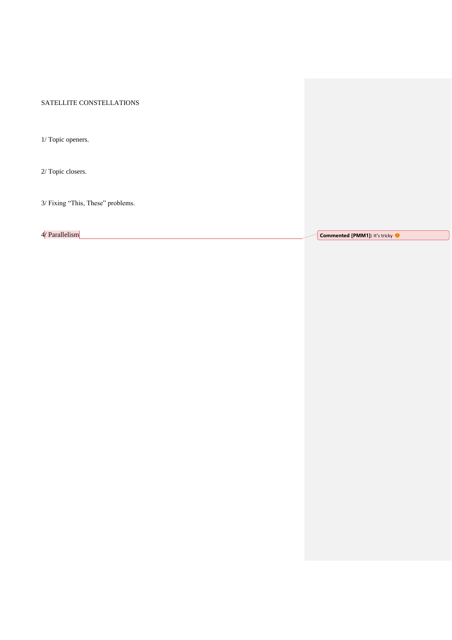1/ Topic openers.

2/ Topic closers.

3/ Fixing "This, These" problems.

4/ Parallelism **Commented [PMM1]:** It's tricky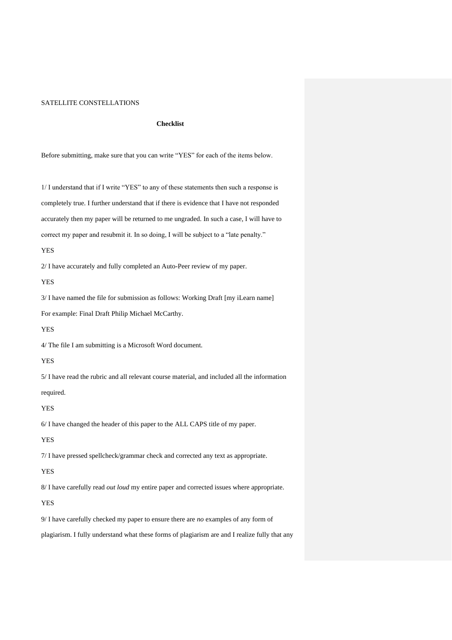### **Checklist**

Before submitting, make sure that you can write "YES" for each of the items below.

1/ I understand that if I write "YES" to any of these statements then such a response is completely true. I further understand that if there is evidence that I have not responded accurately then my paper will be returned to me ungraded. In such a case, I will have to correct my paper and resubmit it. In so doing, I will be subject to a "late penalty."

#### YES

2/ I have accurately and fully completed an Auto-Peer review of my paper.

YES

3/ I have named the file for submission as follows: Working Draft [my iLearn name] For example: Final Draft Philip Michael McCarthy.

#### YES

4/ The file I am submitting is a Microsoft Word document.

# YES

5/ I have read the rubric and all relevant course material, and included all the information required.

#### YES

6/ I have changed the header of this paper to the ALL CAPS title of my paper.

### YES

7/ I have pressed spellcheck/grammar check and corrected any text as appropriate.

# YES

8/ I have carefully read *out loud* my entire paper and corrected issues where appropriate.

### YES

9/ I have carefully checked my paper to ensure there are *no* examples of any form of

plagiarism. I fully understand what these forms of plagiarism are and I realize fully that any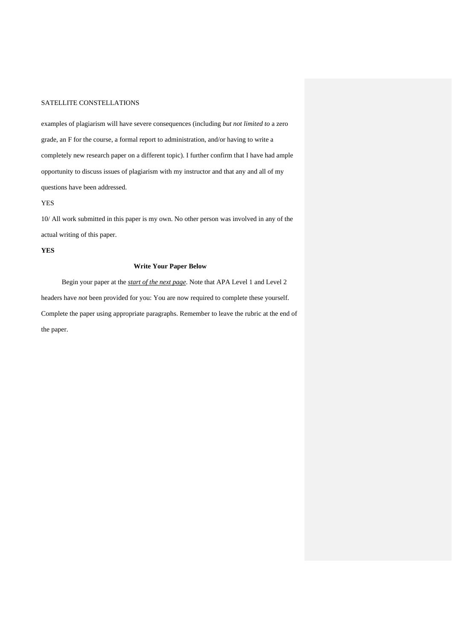examples of plagiarism will have severe consequences (including *but not limited to* a zero grade, an F for the course, a formal report to administration, and/or having to write a completely new research paper on a different topic). I further confirm that I have had ample opportunity to discuss issues of plagiarism with my instructor and that any and all of my questions have been addressed.

YES

10/ All work submitted in this paper is my own. No other person was involved in any of the actual writing of this paper.

# **YES**

### **Write Your Paper Below**

Begin your paper at the *start of the next page*. Note that APA Level 1 and Level 2 headers have *not* been provided for you: You are now required to complete these yourself. Complete the paper using appropriate paragraphs. Remember to leave the rubric at the end of the paper.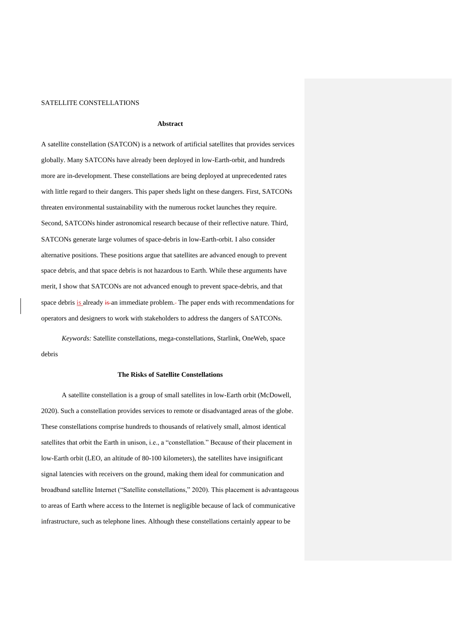### **Abstract**

A satellite constellation (SATCON) is a network of artificial satellites that provides services globally. Many SATCONs have already been deployed in low-Earth-orbit, and hundreds more are in-development. These constellations are being deployed at unprecedented rates with little regard to their dangers. This paper sheds light on these dangers. First, SATCONs threaten environmental sustainability with the numerous rocket launches they require. Second, SATCONs hinder astronomical research because of their reflective nature. Third, SATCONs generate large volumes of space-debris in low-Earth-orbit. I also consider alternative positions. These positions argue that satellites are advanced enough to prevent space debris, and that space debris is not hazardous to Earth. While these arguments have merit, I show that SATCONs are not advanced enough to prevent space-debris, and that space debris is already is an immediate problem. The paper ends with recommendations for operators and designers to work with stakeholders to address the dangers of SATCONs.

*Keywords:* Satellite constellations, mega-constellations, Starlink, OneWeb, space debris

#### **The Risks of Satellite Constellations**

A satellite constellation is a group of small satellites in low-Earth orbit (McDowell, 2020). Such a constellation provides services to remote or disadvantaged areas of the globe. These constellations comprise hundreds to thousands of relatively small, almost identical satellites that orbit the Earth in unison, i.e., a "constellation." Because of their placement in low-Earth orbit (LEO, an altitude of 80-100 kilometers), the satellites have insignificant signal latencies with receivers on the ground, making them ideal for communication and broadband satellite Internet ("Satellite constellations," 2020). This placement is advantageous to areas of Earth where access to the Internet is negligible because of lack of communicative infrastructure, such as telephone lines. Although these constellations certainly appear to be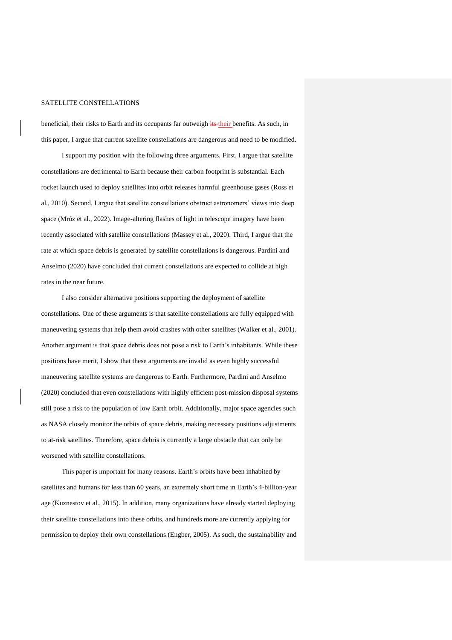beneficial, their risks to Earth and its occupants far outweigh its their benefits. As such, in this paper, I argue that current satellite constellations are dangerous and need to be modified.

I support my position with the following three arguments. First, I argue that satellite constellations are detrimental to Earth because their carbon footprint is substantial. Each rocket launch used to deploy satellites into orbit releases harmful greenhouse gases (Ross et al., 2010). Second, I argue that satellite constellations obstruct astronomers' views into deep space (Mróz et al., 2022). Image-altering flashes of light in telescope imagery have been recently associated with satellite constellations (Massey et al., 2020). Third, I argue that the rate at which space debris is generated by satellite constellations is dangerous. Pardini and Anselmo (2020) have concluded that current constellations are expected to collide at high rates in the near future.

I also consider alternative positions supporting the deployment of satellite constellations. One of these arguments is that satellite constellations are fully equipped with maneuvering systems that help them avoid crashes with other satellites (Walker et al., 2001). Another argument is that space debris does not pose a risk to Earth's inhabitants. While these positions have merit, I show that these arguments are invalid as even highly successful maneuvering satellite systems are dangerous to Earth. Furthermore, Pardini and Anselmo (2020) concluded that even constellations with highly efficient post-mission disposal systems still pose a risk to the population of low Earth orbit. Additionally, major space agencies such as NASA closely monitor the orbits of space debris, making necessary positions adjustments to at-risk satellites. Therefore, space debris is currently a large obstacle that can only be worsened with satellite constellations.

This paper is important for many reasons. Earth's orbits have been inhabited by satellites and humans for less than 60 years, an extremely short time in Earth's 4-billion-year age (Kuznestov et al., 2015). In addition, many organizations have already started deploying their satellite constellations into these orbits, and hundreds more are currently applying for permission to deploy their own constellations (Engber, 2005). As such, the sustainability and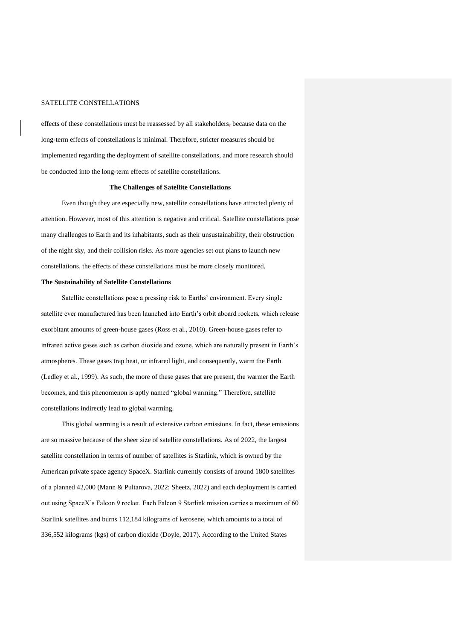effects of these constellations must be reassessed by all stakeholders, because data on the long-term effects of constellations is minimal. Therefore, stricter measures should be implemented regarding the deployment of satellite constellations, and more research should be conducted into the long-term effects of satellite constellations.

### **The Challenges of Satellite Constellations**

Even though they are especially new, satellite constellations have attracted plenty of attention. However, most of this attention is negative and critical. Satellite constellations pose many challenges to Earth and its inhabitants, such as their unsustainability, their obstruction of the night sky, and their collision risks. As more agencies set out plans to launch new constellations, the effects of these constellations must be more closely monitored.

### **The Sustainability of Satellite Constellations**

Satellite constellations pose a pressing risk to Earths' environment. Every single satellite ever manufactured has been launched into Earth's orbit aboard rockets, which release exorbitant amounts of green-house gases (Ross et al., 2010). Green-house gases refer to infrared active gases such as carbon dioxide and ozone, which are naturally present in Earth's atmospheres. These gases trap heat, or infrared light, and consequently, warm the Earth (Ledley et al., 1999). As such, the more of these gases that are present, the warmer the Earth becomes, and this phenomenon is aptly named "global warming." Therefore, satellite constellations indirectly lead to global warming.

This global warming is a result of extensive carbon emissions. In fact, these emissions are so massive because of the sheer size of satellite constellations. As of 2022, the largest satellite constellation in terms of number of satellites is Starlink, which is owned by the American private space agency SpaceX. Starlink currently consists of around 1800 satellites of a planned 42,000 (Mann & Pultarova, 2022; Sheetz, 2022) and each deployment is carried out using SpaceX's Falcon 9 rocket. Each Falcon 9 Starlink mission carries a maximum of 60 Starlink satellites and burns 112,184 kilograms of kerosene, which amounts to a total of 336,552 kilograms (kgs) of carbon dioxide (Doyle, 2017). According to the United States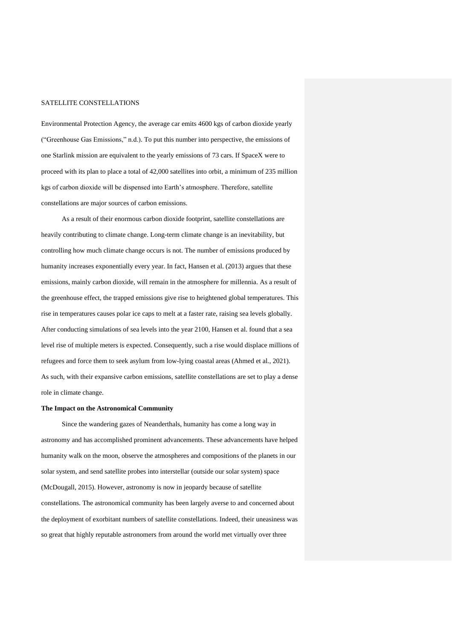Environmental Protection Agency, the average car emits 4600 kgs of carbon dioxide yearly ("Greenhouse Gas Emissions," n.d.). To put this number into perspective, the emissions of one Starlink mission are equivalent to the yearly emissions of 73 cars. If SpaceX were to proceed with its plan to place a total of 42,000 satellites into orbit, a minimum of 235 million kgs of carbon dioxide will be dispensed into Earth's atmosphere. Therefore, satellite constellations are major sources of carbon emissions.

As a result of their enormous carbon dioxide footprint, satellite constellations are heavily contributing to climate change. Long-term climate change is an inevitability, but controlling how much climate change occurs is not. The number of emissions produced by humanity increases exponentially every year. In fact, Hansen et al. (2013) argues that these emissions, mainly carbon dioxide, will remain in the atmosphere for millennia. As a result of the greenhouse effect, the trapped emissions give rise to heightened global temperatures. This rise in temperatures causes polar ice caps to melt at a faster rate, raising sea levels globally. After conducting simulations of sea levels into the year 2100, Hansen et al. found that a sea level rise of multiple meters is expected. Consequently, such a rise would displace millions of refugees and force them to seek asylum from low-lying coastal areas (Ahmed et al., 2021). As such, with their expansive carbon emissions, satellite constellations are set to play a dense role in climate change.

#### **The Impact on the Astronomical Community**

Since the wandering gazes of Neanderthals, humanity has come a long way in astronomy and has accomplished prominent advancements. These advancements have helped humanity walk on the moon, observe the atmospheres and compositions of the planets in our solar system, and send satellite probes into interstellar (outside our solar system) space (McDougall, 2015). However, astronomy is now in jeopardy because of satellite constellations. The astronomical community has been largely averse to and concerned about the deployment of exorbitant numbers of satellite constellations. Indeed, their uneasiness was so great that highly reputable astronomers from around the world met virtually over three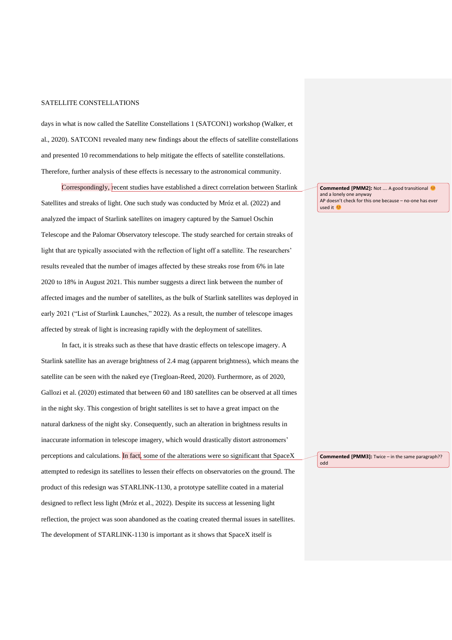days in what is now called the Satellite Constellations 1 (SATCON1) workshop (Walker, et al., 2020). SATCON1 revealed many new findings about the effects of satellite constellations and presented 10 recommendations to help mitigate the effects of satellite constellations. Therefore, further analysis of these effects is necessary to the astronomical community.

Correspondingly, recent studies have established a direct correlation between Starlink Satellites and streaks of light. One such study was conducted by Mróz et al. (2022) and analyzed the impact of Starlink satellites on imagery captured by the Samuel Oschin Telescope and the Palomar Observatory telescope. The study searched for certain streaks of light that are typically associated with the reflection of light off a satellite. The researchers' results revealed that the number of images affected by these streaks rose from 6% in late 2020 to 18% in August 2021. This number suggests a direct link between the number of affected images and the number of satellites, as the bulk of Starlink satellites was deployed in early 2021 ("List of Starlink Launches," 2022). As a result, the number of telescope images affected by streak of light is increasing rapidly with the deployment of satellites.

In fact, it is streaks such as these that have drastic effects on telescope imagery. A Starlink satellite has an average brightness of 2.4 mag (apparent brightness), which means the satellite can be seen with the naked eye (Tregloan-Reed, 2020). Furthermore, as of 2020, Gallozi et al. (2020) estimated that between 60 and 180 satellites can be observed at all times in the night sky. This congestion of bright satellites is set to have a great impact on the natural darkness of the night sky. Consequently, such an alteration in brightness results in inaccurate information in telescope imagery, which would drastically distort astronomers' perceptions and calculations. In fact, some of the alterations were so significant that SpaceX attempted to redesign its satellites to lessen their effects on observatories on the ground. The product of this redesign was STARLINK-1130, a prototype satellite coated in a material designed to reflect less light (Mróz et al., 2022). Despite its success at lessening light reflection, the project was soon abandoned as the coating created thermal issues in satellites. The development of STARLINK-1130 is important as it shows that SpaceX itself is

**Commented [PMM2]:** Not .... A good transitional **©** and a lonely one anyway AP doesn't check for this one because – no-one has ever used it

**Commented [PMM3]:** Twice – in the same paragraph?? odd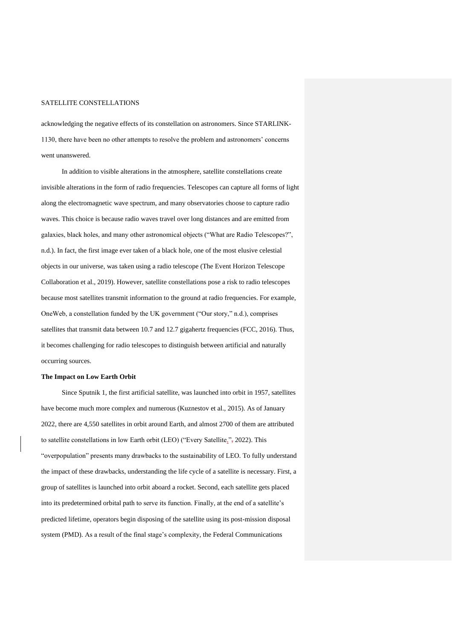acknowledging the negative effects of its constellation on astronomers. Since STARLINK-1130, there have been no other attempts to resolve the problem and astronomers' concerns went unanswered.

In addition to visible alterations in the atmosphere, satellite constellations create invisible alterations in the form of radio frequencies. Telescopes can capture all forms of light along the electromagnetic wave spectrum, and many observatories choose to capture radio waves. This choice is because radio waves travel over long distances and are emitted from galaxies, black holes, and many other astronomical objects ("What are Radio Telescopes?", n.d.). In fact, the first image ever taken of a black hole, one of the most elusive celestial objects in our universe, was taken using a radio telescope (The Event Horizon Telescope Collaboration et al., 2019). However, satellite constellations pose a risk to radio telescopes because most satellites transmit information to the ground at radio frequencies. For example, OneWeb, a constellation funded by the UK government ("Our story," n.d.), comprises satellites that transmit data between 10.7 and 12.7 gigahertz frequencies (FCC, 2016). Thus, it becomes challenging for radio telescopes to distinguish between artificial and naturally occurring sources.

#### **The Impact on Low Earth Orbit**

Since Sputnik 1, the first artificial satellite, was launched into orbit in 1957, satellites have become much more complex and numerous (Kuznestov et al., 2015). As of January 2022, there are 4,550 satellites in orbit around Earth, and almost 2700 of them are attributed to satellite constellations in low Earth orbit (LEO) ("Every Satellite,", 2022). This "overpopulation" presents many drawbacks to the sustainability of LEO. To fully understand the impact of these drawbacks, understanding the life cycle of a satellite is necessary. First, a group of satellites is launched into orbit aboard a rocket. Second, each satellite gets placed into its predetermined orbital path to serve its function. Finally, at the end of a satellite's predicted lifetime, operators begin disposing of the satellite using its post-mission disposal system (PMD). As a result of the final stage's complexity, the Federal Communications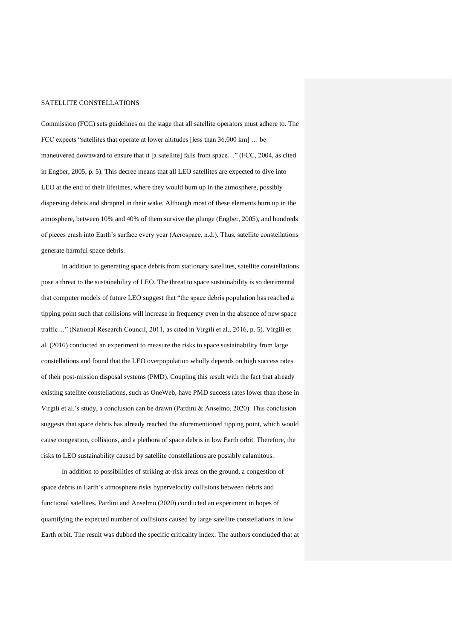Commission (FCC) sets guidelines on the stage that all satellite operators must adhere to. The FCC expects "satellites that operate at lower altitudes [less than 36,000 km] … be maneuvered downward to ensure that it [a satellite] falls from space…" (FCC, 2004, as cited in Engber, 2005, p. 5). This decree means that all LEO satellites are expected to dive into LEO at the end of their lifetimes, where they would burn up in the atmosphere, possibly dispersing debris and shrapnel in their wake. Although most of these elements burn up in the atmosphere, between 10% and 40% of them survive the plunge (Engber, 2005), and hundreds of pieces crash into Earth's surface every year (Aerospace, n.d.). Thus, satellite constellations generate harmful space debris.

In addition to generating space debris from stationary satellites, satellite constellations pose a threat to the sustainability of LEO. The threat to space sustainability is so detrimental that computer models of future LEO suggest that "the space debris population has reached a tipping point such that collisions will increase in frequency even in the absence of new space traffic…" (National Research Council, 2011, as cited in Virgili et al., 2016, p. 5). Virgili et al. (2016) conducted an experiment to measure the risks to space sustainability from large constellations and found that the LEO overpopulation wholly depends on high success rates of their post-mission disposal systems (PMD). Coupling this result with the fact that already existing satellite constellations, such as OneWeb, have PMD success rates lower than those in Virgili et al.'s study, a conclusion can be drawn (Pardini & Anselmo, 2020). This conclusion suggests that space debris has already reached the aforementioned tipping point, which would cause congestion, collisions, and a plethora of space debris in low Earth orbit. Therefore, the risks to LEO sustainability caused by satellite constellations are possibly calamitous.

In addition to possibilities of striking at-risk areas on the ground, a congestion of space debris in Earth's atmosphere risks hypervelocity collisions between debris and functional satellites. Pardini and Anselmo (2020) conducted an experiment in hopes of quantifying the expected number of collisions caused by large satellite constellations in low Earth orbit. The result was dubbed the specific criticality index. The authors concluded that at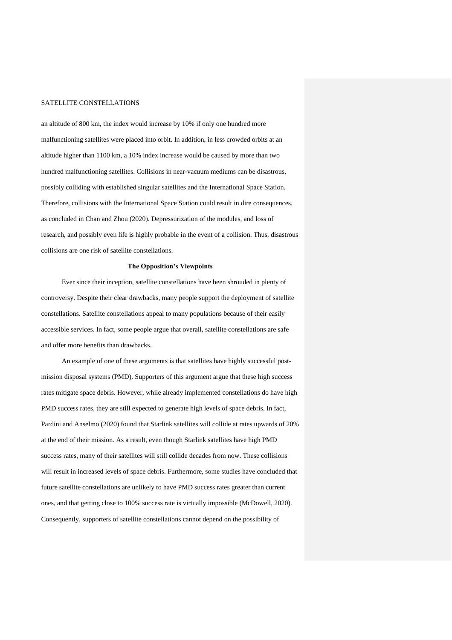an altitude of 800 km, the index would increase by 10% if only one hundred more malfunctioning satellites were placed into orbit. In addition, in less crowded orbits at an altitude higher than 1100 km, a 10% index increase would be caused by more than two hundred malfunctioning satellites. Collisions in near-vacuum mediums can be disastrous, possibly colliding with established singular satellites and the International Space Station. Therefore, collisions with the International Space Station could result in dire consequences, as concluded in Chan and Zhou (2020). Depressurization of the modules, and loss of research, and possibly even life is highly probable in the event of a collision. Thus, disastrous collisions are one risk of satellite constellations.

#### **The Opposition's Viewpoints**

Ever since their inception, satellite constellations have been shrouded in plenty of controversy. Despite their clear drawbacks, many people support the deployment of satellite constellations. Satellite constellations appeal to many populations because of their easily accessible services. In fact, some people argue that overall, satellite constellations are safe and offer more benefits than drawbacks.

An example of one of these arguments is that satellites have highly successful postmission disposal systems (PMD). Supporters of this argument argue that these high success rates mitigate space debris. However, while already implemented constellations do have high PMD success rates, they are still expected to generate high levels of space debris. In fact, Pardini and Anselmo (2020) found that Starlink satellites will collide at rates upwards of 20% at the end of their mission. As a result, even though Starlink satellites have high PMD success rates, many of their satellites will still collide decades from now. These collisions will result in increased levels of space debris. Furthermore, some studies have concluded that future satellite constellations are unlikely to have PMD success rates greater than current ones, and that getting close to 100% success rate is virtually impossible (McDowell, 2020). Consequently, supporters of satellite constellations cannot depend on the possibility of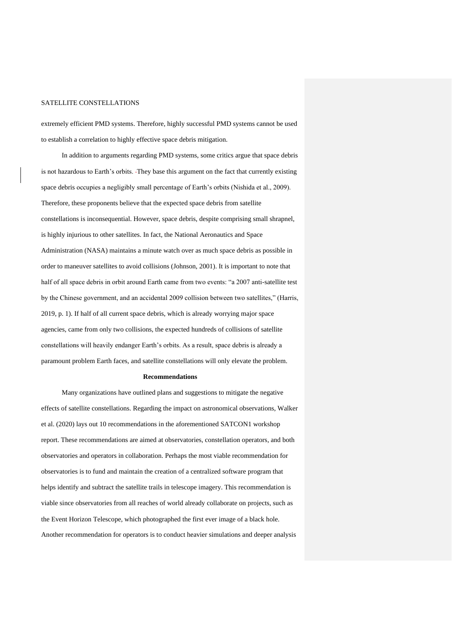extremely efficient PMD systems. Therefore, highly successful PMD systems cannot be used to establish a correlation to highly effective space debris mitigation.

In addition to arguments regarding PMD systems, some critics argue that space debris is not hazardous to Earth's orbits. They base this argument on the fact that currently existing space debris occupies a negligibly small percentage of Earth's orbits (Nishida et al., 2009). Therefore, these proponents believe that the expected space debris from satellite constellations is inconsequential. However, space debris, despite comprising small shrapnel, is highly injurious to other satellites. In fact, the National Aeronautics and Space Administration (NASA) maintains a minute watch over as much space debris as possible in order to maneuver satellites to avoid collisions (Johnson, 2001). It is important to note that half of all space debris in orbit around Earth came from two events: "a 2007 anti-satellite test by the Chinese government, and an accidental 2009 collision between two satellites," (Harris, 2019, p. 1). If half of all current space debris, which is already worrying major space agencies, came from only two collisions, the expected hundreds of collisions of satellite constellations will heavily endanger Earth's orbits. As a result, space debris is already a paramount problem Earth faces, and satellite constellations will only elevate the problem.

#### **Recommendations**

Many organizations have outlined plans and suggestions to mitigate the negative effects of satellite constellations. Regarding the impact on astronomical observations, Walker et al. (2020) lays out 10 recommendations in the aforementioned SATCON1 workshop report. These recommendations are aimed at observatories, constellation operators, and both observatories and operators in collaboration. Perhaps the most viable recommendation for observatories is to fund and maintain the creation of a centralized software program that helps identify and subtract the satellite trails in telescope imagery. This recommendation is viable since observatories from all reaches of world already collaborate on projects, such as the Event Horizon Telescope, which photographed the first ever image of a black hole. Another recommendation for operators is to conduct heavier simulations and deeper analysis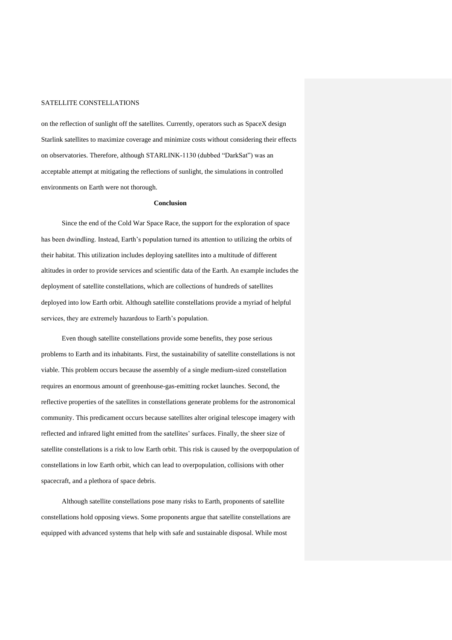on the reflection of sunlight off the satellites. Currently, operators such as SpaceX design Starlink satellites to maximize coverage and minimize costs without considering their effects on observatories. Therefore, although STARLINK-1130 (dubbed "DarkSat") was an acceptable attempt at mitigating the reflections of sunlight, the simulations in controlled environments on Earth were not thorough.

### **Conclusion**

Since the end of the Cold War Space Race, the support for the exploration of space has been dwindling. Instead, Earth's population turned its attention to utilizing the orbits of their habitat. This utilization includes deploying satellites into a multitude of different altitudes in order to provide services and scientific data of the Earth. An example includes the deployment of satellite constellations, which are collections of hundreds of satellites deployed into low Earth orbit. Although satellite constellations provide a myriad of helpful services, they are extremely hazardous to Earth's population.

Even though satellite constellations provide some benefits, they pose serious problems to Earth and its inhabitants. First, the sustainability of satellite constellations is not viable. This problem occurs because the assembly of a single medium-sized constellation requires an enormous amount of greenhouse-gas-emitting rocket launches. Second, the reflective properties of the satellites in constellations generate problems for the astronomical community. This predicament occurs because satellites alter original telescope imagery with reflected and infrared light emitted from the satellites' surfaces. Finally, the sheer size of satellite constellations is a risk to low Earth orbit. This risk is caused by the overpopulation of constellations in low Earth orbit, which can lead to overpopulation, collisions with other spacecraft, and a plethora of space debris.

Although satellite constellations pose many risks to Earth, proponents of satellite constellations hold opposing views. Some proponents argue that satellite constellations are equipped with advanced systems that help with safe and sustainable disposal. While most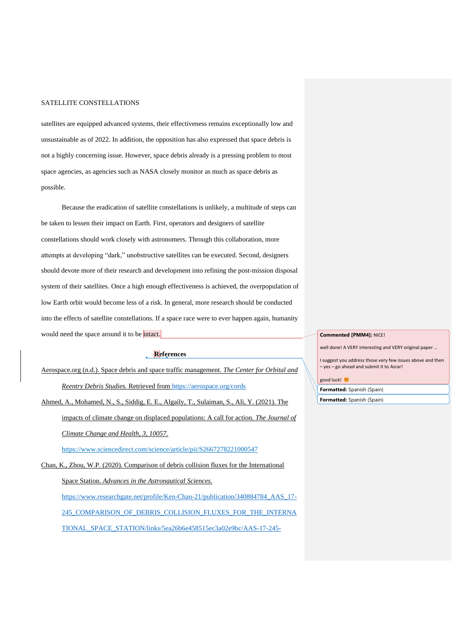satellites are equipped advanced systems, their effectiveness remains exceptionally low and unsustainable as of 2022. In addition, the opposition has also expressed that space debris is not a highly concerning issue. However, space debris already is a pressing problem to most space agencies, as agencies such as NASA closely monitor as much as space debris as possible.

Because the eradication of satellite constellations is unlikely, a multitude of steps can be taken to lessen their impact on Earth. First, operators and designers of satellite constellations should work closely with astronomers. Through this collaboration, more attempts at developing "dark," unobstructive satellites can be executed. Second, designers should devote more of their research and development into refining the post-mission disposal system of their satellites. Once a high enough effectiveness is achieved, the overpopulation of low Earth orbit would become less of a risk. In general, more research should be conducted into the effects of satellite constellations. If a space race were to ever happen again, humanity would need the space around it to be intact.

# **References**

Aerospace.org (n.d.). Space debris and space traffic management. *The Center for Orbital and Reentry Debris Studies.* Retrieved from<https://aerospace.org/cords>

Ahmed, A., Mohamed, N., S., Siddig, E. E., Algaily, T., Sulaiman, S., Ali, Y. (2021). The impacts of climate change on displaced populations: A call for action. *The Journal of Climate Change and Health, 3, 10057.* 

https://www.sciencedirect.com/science/article/pii/S2667278221000547

Chan, K., Zhou, W.P. (2020). Comparison of debris collision fluxes for the International Space Station. *Advances in the Astronautical Sciences.*  https://www.researchgate.net/profile/Ken-Chan-21/publication/340884784\_AAS\_17- 245\_COMPARISON\_OF\_DEBRIS\_COLLISION\_FLUXES\_FOR\_THE\_INTERNA TIONAL\_SPACE\_STATION/links/5ea26b6e458515ec3a02e9bc/AAS-17-245-

#### **Commented [PMM4]:** NICE!

well done! A VERY interesting and VERY original paper …

I suggest you address those very few issues above and then – yes – go ahead and submit it to Asrar!

#### good luck!

**Formatted:** Spanish (Spain)

**Formatted:** Spanish (Spain)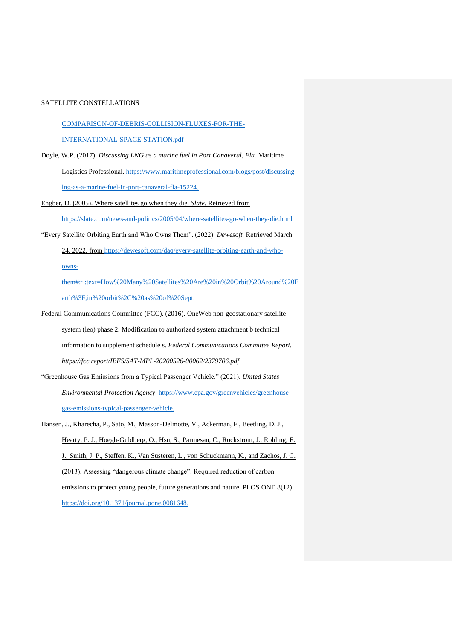COMPARISON-OF-DEBRIS-COLLISION-FLUXES-FOR-THE-

INTERNATIONAL-SPACE-STATION.pdf

- Doyle, W.P. (2017). *Discussing LNG as a marine fuel in Port Canaveral, Fla.* Maritime Logistics Professional. [https://www.maritimeprofessional.com/blogs/post/discussing](https://www.maritimeprofessional.com/blogs/post/discussing-lng-as-a-marine-fuel-in-port-canaveral-fla-15224)[lng-as-a-marine-fuel-in-port-canaveral-fla-15224.](https://www.maritimeprofessional.com/blogs/post/discussing-lng-as-a-marine-fuel-in-port-canaveral-fla-15224)
- Engber, D. (2005). Where satellites go when they die. *Slate.* Retrieved from https://slate.com/news-and-politics/2005/04/where-satellites-go-when-they-die.html
- "Every Satellite Orbiting Earth and Who Owns Them". (2022). *Dewesoft.* Retrieved March

24, 2022, from https://dewesoft.com/daq/every-satellite-orbiting-earth-and-who-

owns-

them#:~:text=How%20Many%20Satellites%20Are%20in%20Orbit%20Around%20E arth%3F,in%20orbit%2C%20as%20of%20Sept.

- Federal Communications Committee (FCC). (2016). OneWeb non-geostationary satellite system (leo) phase 2: Modification to authorized system attachment b technical information to supplement schedule s. *Federal Communications Committee Report. https://fcc.report/IBFS/SAT-MPL-20200526-00062/2379706.pdf*
- "Greenhouse Gas Emissions from a Typical Passenger Vehicle." (2021). *United States Environmental Protection Agency*. [https://www.epa.gov/greenvehicles/greenhouse](https://www.epa.gov/greenvehicles/greenhouse-gas-emissions-typical-passenger-vehicle)[gas-emissions-typical-passenger-vehicle.](https://www.epa.gov/greenvehicles/greenhouse-gas-emissions-typical-passenger-vehicle)

Hansen, J., Kharecha, P., Sato, M., Masson-Delmotte, V., Ackerman, F., Beetling, D. J., Hearty, P. J., Hoegh-Guldberg, O., Hsu, S., Parmesan, C., Rockstrom, J., Rohling, E. J., Smith, J. P., Steffen, K., Van Susteren, L., von Schuckmann, K., and Zachos, J. C. (2013). Assessing "dangerous climate change": Required reduction of carbon emissions to protect young people, future generations and nature. PLOS ONE 8(12). [https://doi.org/10.1371/journal.pone.0081648.](https://doi.org/10.1371/journal.pone.0081648)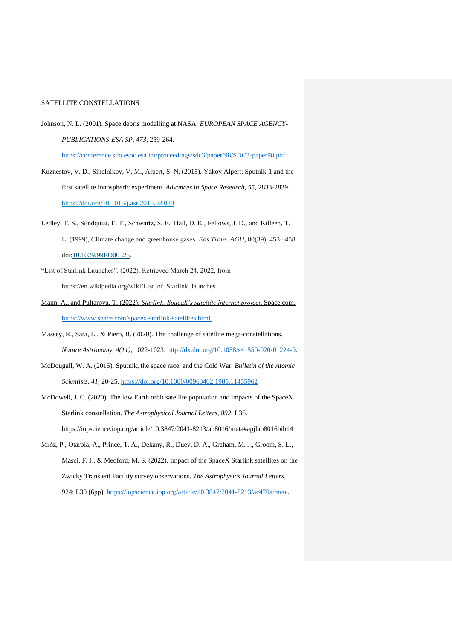Johnson, N. L. (2001). Space debris modelling at NASA. *EUROPEAN SPACE AGENCY-PUBLICATIONS-ESA SP*, *473*, 259-264.

<https://conference.sdo.esoc.esa.int/proceedings/sdc3/paper/98/SDC3-paper98.pdf>

- Kuznestov, V. D., Sinelnikov, V. M., Alpert, S. N. (2015). Yakov Alpert: Sputnik-1 and the first satellite ionospheric experiment. *Advances in Space Research, 55,* 2833-2839*.* <https://doi.org/10.1016/j.asr.2015.02.033>
- Ledley, T. S., Sundquist, E. T., Schwartz, S. E., Hall, D. K., Fellows, J. D., and Killeen, T. L. (1999), Climate change and greenhouse gases. *Eos Trans. AGU*, 80(39), 453– 458. doi[:10.1029/99EO00325.](https://doi.org/10.1029/99EO00325)
- "List of Starlink Launches". (2022). Retrieved March 24, 2022, from https://en.wikipedia.org/wiki/List\_of\_Starlink\_launches
- Mann, A., and Pultarova, T. (2022). *Starlink: SpaceX's satellite internet project*. Space.com. [https://www.space.com/spacex-starlink-satellites.html.](https://www.space.com/spacex-starlink-satellites.html)
- Massey, R., Sara, L., & Piero, B. (2020). The challenge of satellite mega-constellations. *Nature Astronomy, 4(11),* 1022-1023. [http://dx.doi.org/10.1038/s41550-020-01224-9.](http://dx.doi.org/10.1038/s41550-020-01224-9)
- McDougall, W. A. (2015). Sputnik, the space race, and the Cold War. *Bulletin of the Atomic Scientists, 41,* 20-25.<https://doi.org/10.1080/00963402.1985.11455962>
- McDowell, J. C. (2020). The low Earth orbit satellite population and impacts of the SpaceX Starlink constellation. *The Astrophysical Journal Letters, 892.* L36. https://iopscience.iop.org/article/10.3847/2041-8213/ab8016/meta#apjlab8016bib14
- Mróz, P., Otarola, A., Prince, T. A., Dekany, R., Duev, D. A., Graham, M. J., Groom, S. L., Masci, F. J., & Medford, M. S. (2022). Impact of the SpaceX Starlink satellites on the Zwicky Transient Facility survey observations. *The Astrophysics Journal Letters,*  924: L30 (6pp)*.* [https://iopscience.iop.org/article/10.3847/2041-8213/ac470a/meta.](https://iopscience.iop.org/article/10.3847/2041-8213/ac470a/meta)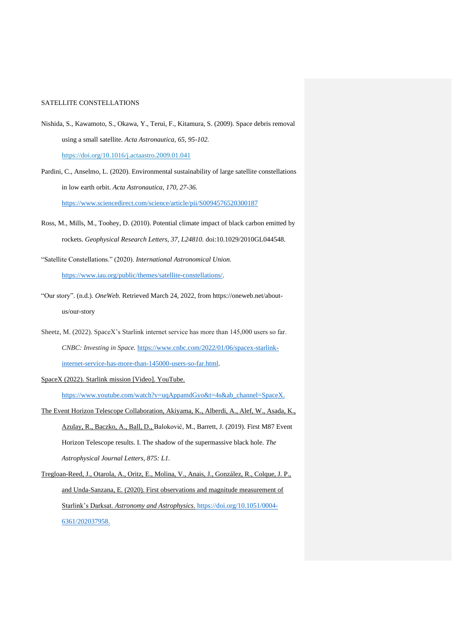- Nishida, S., Kawamoto, S., Okawa, Y., Terui, F., Kitamura, S. (2009). Space debris removal using a small satellite. *Acta Astronautica, 65, 95-102.*  <https://doi.org/10.1016/j.actaastro.2009.01.041>
- Pardini, C., Anselmo, L. (2020). Environmental sustainability of large satellite constellations in low earth orbit. *Acta Astronautica, 170, 27-36.*  <https://www.sciencedirect.com/science/article/pii/S0094576520300187>
- Ross, M., Mills, M., Toohey, D. (2010). Potential climate impact of black carbon emitted by rockets. *Geophysical Research Letters, 37, L24810.* doi:10.1029/2010GL044548.
- "Satellite Constellations." (2020). *International Astronomical Union.*  [https://www.iau.org/public/themes/satellite-constellations/.](https://www.iau.org/public/themes/satellite-constellations/)
- "Our story". (n.d.). *OneWeb.* Retrieved March 24, 2022, from https://oneweb.net/aboutus/our-story
- Sheetz, M. (2022). SpaceX's Starlink internet service has more than 145,000 users so far. *CNBC: Investing in Space.* [https://www.cnbc.com/2022/01/06/spacex-starlink](https://www.cnbc.com/2022/01/06/spacex-starlink-internet-service-has-more-than-145000-users-so-far.html)[internet-service-has-more-than-145000-users-so-far.html.](https://www.cnbc.com/2022/01/06/spacex-starlink-internet-service-has-more-than-145000-users-so-far.html)

SpaceX (2022). Starlink mission [Video]. YouTube.

[https://www.youtube.com/watch?v=uqAppamdGyo&t=4s&ab\\_channel=SpaceX.](https://www.youtube.com/watch?v=uqAppamdGyo&t=4s&ab_channel=SpaceX)

- The Event Horizon Telescope Collaboration, Akiyama, K., Alberdi, A., Alef, W., Asada, K., Azulay, R., Baczko, A., Ball, D., Baloković, M., Barrett, J. (2019). First M87 Event Horizon Telescope results. I. The shadow of the supermassive black hole. *The Astrophysical Journal Letters, 875: L1.*
- Tregloan-Reed, J., Otarola, A., Oritz, E., Molina, V., Anais, J., González, R., Colque, J. P., and Unda-Sanzana, E. (2020). First observations and magnitude measurement of Starlink's Darksat. *Astronomy and Astrophysics*. [https://doi.org/10.1051/0004-](https://doi.org/10.1051/0004-6361/202037958) [6361/202037958.](https://doi.org/10.1051/0004-6361/202037958)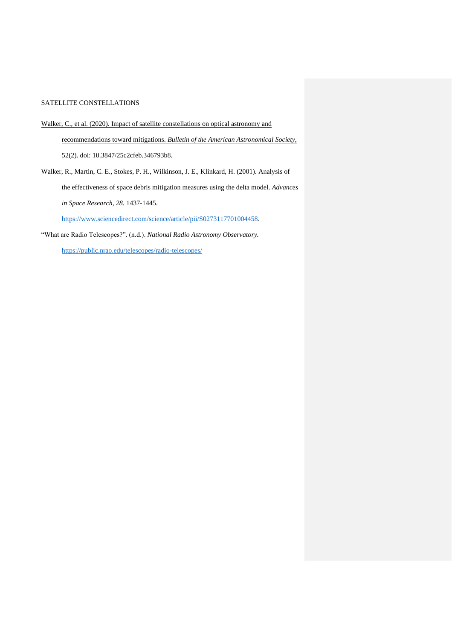- Walker, C., et al. (2020). Impact of satellite constellations on optical astronomy and recommendations toward mitigations. *Bulletin of the American Astronomical Society*, 52(2). doi: 10.3847/25c2cfeb.346793b8.
- Walker, R., Martin, C. E., Stokes, P. H., Wilkinson, J. E., Klinkard, H. (2001). Analysis of the effectiveness of space debris mitigation measures using the delta model. *Advances in Space Research, 28.* 1437-1445.

[https://www.sciencedirect.com/science/article/pii/S0273117701004458.](https://www.sciencedirect.com/science/article/pii/S0273117701004458)

"What are Radio Telescopes?". (n.d.). *National Radio Astronomy Observatory.*  <https://public.nrao.edu/telescopes/radio-telescopes/>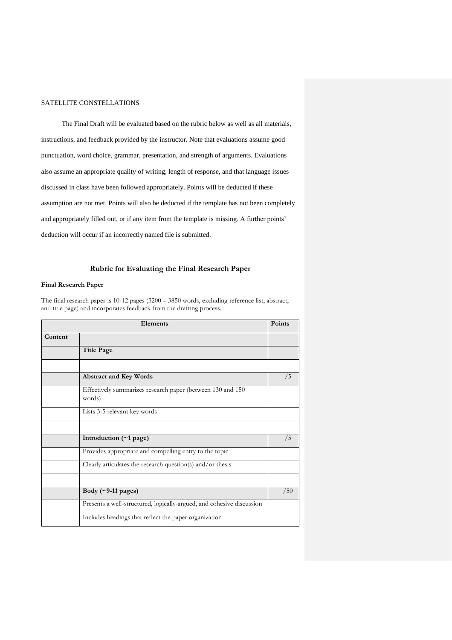The Final Draft will be evaluated based on the rubric below as well as all materials, instructions, and feedback provided by the instructor. Note that evaluations assume good punctuation, word choice, grammar, presentation, and strength of arguments. Evaluations also assume an appropriate quality of writing, length of response, and that language issues discussed in class have been followed appropriately. Points will be deducted if these assumption are not met. Points will also be deducted if the template has not been completely and appropriately filled out, or if any item from the template is missing. A further points' deduction will occur if an incorrectly named file is submitted.

# **Rubric for Evaluating the Final Research Paper**

### **Final Research Paper**

The final research paper is 10-12 pages (3200 – 3850 words, excluding reference list, abstract, and title page) and incorporates feedback from the drafting process.

| Elements |                                                                       | <b>Points</b> |
|----------|-----------------------------------------------------------------------|---------------|
| Content  |                                                                       |               |
|          | <b>Title Page</b>                                                     |               |
|          |                                                                       |               |
|          | <b>Abstract and Key Words</b>                                         | /5            |
|          | Effectively summarizes research paper (between 130 and 150<br>words)  |               |
|          | Lists 3-5 relevant key words                                          |               |
|          |                                                                       |               |
|          | Introduction $(\sim 1$ page)                                          | /5            |
|          | Provides appropriate and compelling entry to the topic                |               |
|          | Clearly articulates the research question(s) and/or thesis            |               |
|          |                                                                       |               |
|          | Body $(\sim 9-11$ pages)                                              | /50           |
|          | Presents a well-structured, logically-argued, and cohesive discussion |               |
|          | Includes headings that reflect the paper organization                 |               |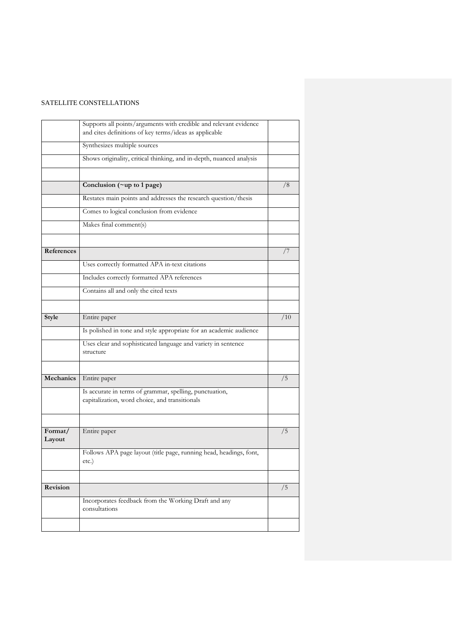|                   | Supports all points/arguments with credible and relevant evidence<br>and cites definitions of key terms/ideas as applicable |     |
|-------------------|-----------------------------------------------------------------------------------------------------------------------------|-----|
|                   | Synthesizes multiple sources                                                                                                |     |
|                   | Shows originality, critical thinking, and in-depth, nuanced analysis                                                        |     |
|                   |                                                                                                                             |     |
|                   | Conclusion (~up to 1 page)                                                                                                  | /8  |
|                   | Restates main points and addresses the research question/thesis                                                             |     |
|                   | Comes to logical conclusion from evidence                                                                                   |     |
|                   | Makes final comment(s)                                                                                                      |     |
|                   |                                                                                                                             |     |
| References        |                                                                                                                             | 77  |
|                   | Uses correctly formatted APA in-text citations                                                                              |     |
|                   | Includes correctly formatted APA references                                                                                 |     |
|                   | Contains all and only the cited texts                                                                                       |     |
|                   |                                                                                                                             |     |
| Style             | Entire paper                                                                                                                | /10 |
|                   | Is polished in tone and style appropriate for an academic audience                                                          |     |
|                   | Uses clear and sophisticated language and variety in sentence<br>structure                                                  |     |
|                   |                                                                                                                             |     |
| Mechanics         | Entire paper                                                                                                                | /5  |
|                   | Is accurate in terms of grammar, spelling, punctuation,<br>capitalization, word choice, and transitionals                   |     |
|                   |                                                                                                                             |     |
| Format/<br>Layout | Entire paper                                                                                                                | /5  |
|                   | Follows APA page layout (title page, running head, headings, font,<br>etc.)                                                 |     |
|                   |                                                                                                                             |     |
| Revision          |                                                                                                                             | /5  |
|                   | Incorporates feedback from the Working Draft and any<br>consultations                                                       |     |
|                   |                                                                                                                             |     |